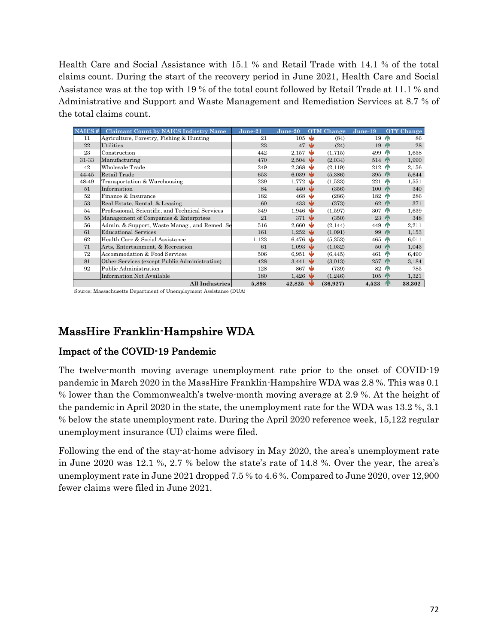Health Care and Social Assistance with 15.1 % and Retail Trade with 14.1 % of the total claims count. During the start of the recovery period in June 2021, Health Care and Social Assistance was at the top with 19 % of the total count followed by Retail Trade at 11.1 % and Administrative and Support and Waste Management and Remediation Services at 8.7 % of the total claims count.

| NAICS # | <b>Claimant Count by NAICS Industry Name</b>     | June-21 | June-20                       | <b>OTM</b> Change | June-19         | <b>OTY</b> Change        |
|---------|--------------------------------------------------|---------|-------------------------------|-------------------|-----------------|--------------------------|
| 11      | Agriculture, Forestry, Fishing & Hunting         | 21      | $105 \; \mathbf{V}$           | (84)              | 19 <sup>6</sup> | 86                       |
| 22      | Utilities                                        | 23      | 47                            | ₩<br>(24)         | 19              | 28<br><b>AN</b>          |
| 23      | Construction                                     | 442     | 2,157                         | ₩<br>(1,715)      | 499             | 1,658<br>ИN              |
| 31-33   | Manufacturing                                    | 470     | 2,504                         | (2,034)           | 514 T           | 1,990                    |
| 42      | Wholesale Trade                                  | 249     | 2,368                         | w<br>(2,119)      | 212             | 2,156<br>4F              |
| 44-45   | Retail Trade                                     | 653     | 6,039                         | w<br>(5,386)      | 395 A           | 5,644                    |
| 48-49   | Transportation & Warehousing                     | 239     | 1,772                         | ۰W<br>(1,533)     | 221             | 1,551<br>45              |
| 51      | Information                                      | 84      | $440 \frac{1}{2}$             | (356)             | $100$ $\wedge$  | 340                      |
| 52      | Finance & Insurance                              | 182     | 468                           | w<br>(286)        | 182             | 286<br>4N                |
| 53      | Real Estate, Rental, & Leasing                   | 60      | 433                           | ᄬ<br>(373)        | 62              | 371<br><b>AN</b>         |
| 54      | Professional, Scientific, and Technical Services | 349     | 1,946                         | (1,597)           | 307             | 1,639<br>45              |
| 55      | Management of Companies & Enterprises            | 21      | $371 \; \text{V}$             | (350)             | 23              | 348<br><b>AN</b>         |
| 56      | Admin. & Support, Waste Manag., and Remed. Se    | 516     | 2,660                         | ۰W<br>(2, 144)    | 449             | 2,211<br>4N              |
| 61      | <b>Educational Services</b>                      | 161     | $1,252 \qquad \qquad \bullet$ | (1,091)           | 99              | 1,153<br><b>AN</b>       |
| 62      | Health Care & Social Assistance                  | 1,123   | 6,476 $\sqrt{ }$              | (5,353)           | 465             | 6,011<br>ИN              |
| 71      | Arts, Entertainment, & Recreation                | 61      | 1,093                         | ₩<br>(1,032)      | 50              | 1,043<br><b>AN</b>       |
| 72      | Accommodation & Food Services                    | 506     | 6,951                         | w<br>(6, 445)     | 461             | 6,490<br>ЙN              |
| 81      | Other Services (except Public Administration)    | 428     | $3,441 \ \bigvee$             | (3,013)           | 257             | 3,184<br>H <sub>1</sub>  |
| 92      | Public Administration                            | 128     | 867                           | ₩<br>(739)        | 82              | 785<br>ИN                |
|         | Information Not Available                        | 180     | 1,426                         | (1, 246)          | $105$ T         | 1,321                    |
|         | <b>All Industries</b>                            | 5,898   | 42,825                        | Nb<br>(36, 927)   | 4,523           | 38,302<br>n <sub>0</sub> |

Source: Massachusetts Department of Unemployment Assistance (DUA)

## MassHire Franklin-Hampshire WDA

#### Impact of the COVID-19 Pandemic

The twelve-month moving average unemployment rate prior to the onset of COVID-19 pandemic in March 2020 in the MassHire Franklin-Hampshire WDA was 2.8 %. This was 0.1 % lower than the Commonwealth's twelve-month moving average at 2.9 %. At the height of the pandemic in April 2020 in the state, the unemployment rate for the WDA was 13.2 %, 3.1 % below the state unemployment rate. During the April 2020 reference week, 15,122 regular unemployment insurance (UI) claims were filed.

Following the end of the stay-at-home advisory in May 2020, the area's unemployment rate in June 2020 was 12.1 %, 2.7 % below the state's rate of 14.8 %. Over the year, the area's unemployment rate in June 2021 dropped 7.5 % to 4.6 %. Compared to June 2020, over 12,900 fewer claims were filed in June 2021.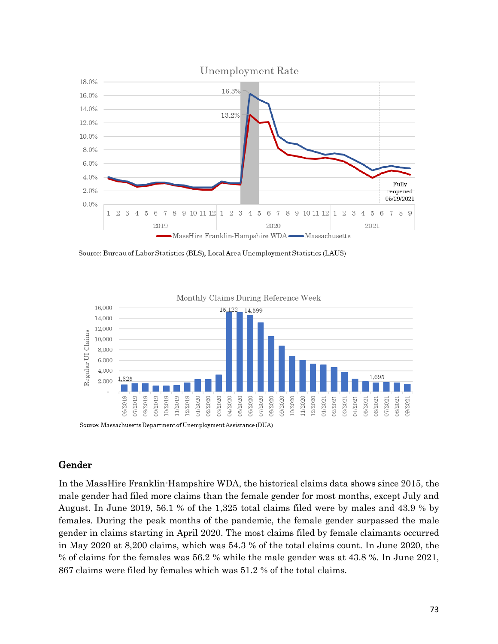



#### Gender

In the MassHire Franklin-Hampshire WDA, the historical claims data shows since 2015, the male gender had filed more claims than the female gender for most months, except July and August. In June 2019, 56.1 % of the 1,325 total claims filed were by males and 43.9 % by females. During the peak months of the pandemic, the female gender surpassed the male gender in claims starting in April 2020. The most claims filed by female claimants occurred in May 2020 at 8,200 claims, which was 54.3 % of the total claims count. In June 2020, the % of claims for the females was 56.2 % while the male gender was at 43.8 %. In June 2021, 867 claims were filed by females which was 51.2 % of the total claims.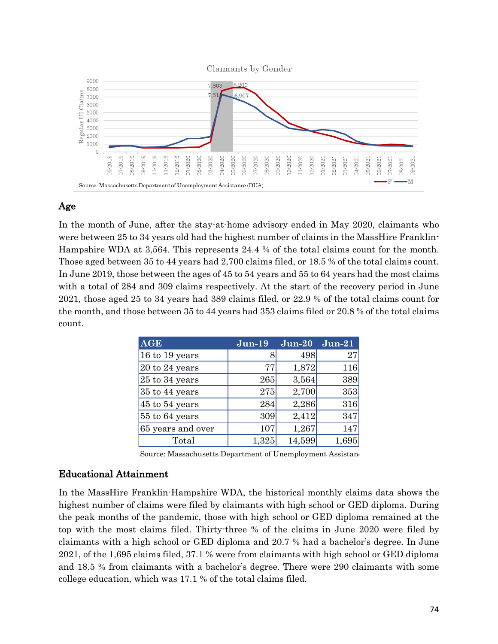

## Age

In the month of June, after the stay-at-home advisory ended in May 2020, claimants who were between 25 to 34 years old had the highest number of claims in the MassHire Franklin-Hampshire WDA at 3,564. This represents 24.4 % of the total claims count for the month. Those aged between 35 to 44 years had 2,700 claims filed, or 18.5 % of the total claims count. In June 2019, those between the ages of 45 to 54 years and 55 to 64 years had the most claims with a total of 284 and 309 claims respectively. At the start of the recovery period in June 2021, those aged 25 to 34 years had 389 claims filed, or 22.9 % of the total claims count for the month, and those between 35 to 44 years had 353 claims filed or 20.8 % of the total claims count.

| <b>AGE</b>         | $Jun-19$ | $J$ un- $20$ | $Jun-21$ |
|--------------------|----------|--------------|----------|
| 16 to 19 years     |          | 498          | 27       |
| 20 to 24 years     | 77       | 1,872        | 116      |
| 25 to 34 years     | 265      | 3,564        | 389      |
| 35 to 44 years     | 275      | 2,700        | 353      |
| $45$ to $54$ years | 284      | 2,286        | 316      |
| 55 to 64 years     | 309      | 2,412        | 347      |
| 65 years and over  | 107      | 1,267        | 147      |
| Total              | 1,325    | 14,599       | 1,695    |

Source: Massachusetts Department of Unemployment Assistano

## Educational Attainment

In the MassHire Franklin-Hampshire WDA, the historical monthly claims data shows the highest number of claims were filed by claimants with high school or GED diploma. During the peak months of the pandemic, those with high school or GED diploma remained at the top with the most claims filed. Thirty-three % of the claims in June 2020 were filed by claimants with a high school or GED diploma and 20.7 % had a bachelor's degree. In June 2021, of the 1,695 claims filed, 37.1 % were from claimants with high school or GED diploma and 18.5 % from claimants with a bachelor's degree. There were 290 claimants with some college education, which was 17.1 % of the total claims filed.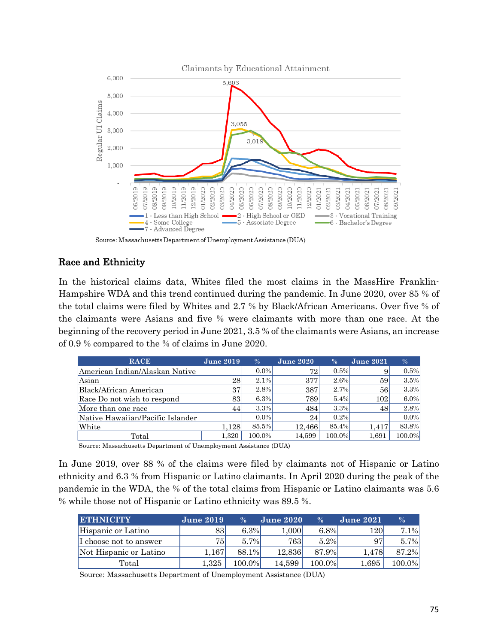

## Race and Ethnicity

In the historical claims data, Whites filed the most claims in the MassHire Franklin-Hampshire WDA and this trend continued during the pandemic. In June 2020, over 85 % of the total claims were filed by Whites and 2.7 % by Black/African Americans. Over five % of the claimants were Asians and five % were claimants with more than one race. At the beginning of the recovery period in June 2021, 3.5 % of the claimants were Asians, an increase of 0.9 % compared to the % of claims in June 2020.

| <b>RACE</b>                      | <b>June 2019</b> | $\frac{0}{6}$ | <b>June 2020</b> | $\%$    | <b>June 2021</b> | $\%$    |
|----------------------------------|------------------|---------------|------------------|---------|------------------|---------|
| American Indian/Alaskan Native   |                  | $0.0\%$       | 72               | 0.5%    | 9                | 0.5%    |
| Asian                            | 28               | 2.1%          | 377              | $2.6\%$ | 59               | 3.5%    |
| Black/African American           | 37               | 2.8%          | 387              | 2.7%    | 56               | 3.3%    |
| Race Do not wish to respond      | 83               | 6.3%          | 789              | 5.4%    | 102              | $6.0\%$ |
| More than one race               | 44               | 3.3%          | 484              | 3.3%    | 48               | 2.8%    |
| Native Hawaiian/Pacific Islander |                  | $0.0\%$       | 24 <sub>1</sub>  | 0.2%    |                  | $0.0\%$ |
| White                            | 1.128            | 85.5%         | 12.466           | 85.4%   | 1.417            | 83.8%   |
| Total                            | 1.320            | 100.0%        | 14.599           | 100.0%  | 1,691            | 100.0%  |

Source: Massachusetts Department of Unemployment Assistance (DUA)

In June 2019, over 88 % of the claims were filed by claimants not of Hispanic or Latino ethnicity and 6.3 % from Hispanic or Latino claimants. In April 2020 during the peak of the pandemic in the WDA, the % of the total claims from Hispanic or Latino claimants was 5.6 % while those not of Hispanic or Latino ethnicity was 89.5 %.

| <b>ETHNICITY</b>       | <b>June 2019</b> | $\frac{0}{6}$ | <b>June 2020</b> | $\frac{0}{6}$ | <b>June 2021</b> | $\frac{0}{6}$ |
|------------------------|------------------|---------------|------------------|---------------|------------------|---------------|
| Hispanic or Latino     | 83               | 6.3%          | 1,000            | $6.8\%$       | 120              | 7.1%          |
| I choose not to answer | 75               | $5.7\%$       | <b>763</b>       | $5.2\%$       | 97               | 5.7%          |
| Not Hispanic or Latino | 1.167            | 88.1%         | 12.836           | 87.9%         | 1.478            | 87.2%         |
| Total                  | $1.325\,$        | 100.0%        | 14.599           | 100.0%        | 1,695            | 100.0%l       |

Source: Massachusetts Department of Unemployment Assistance (DUA)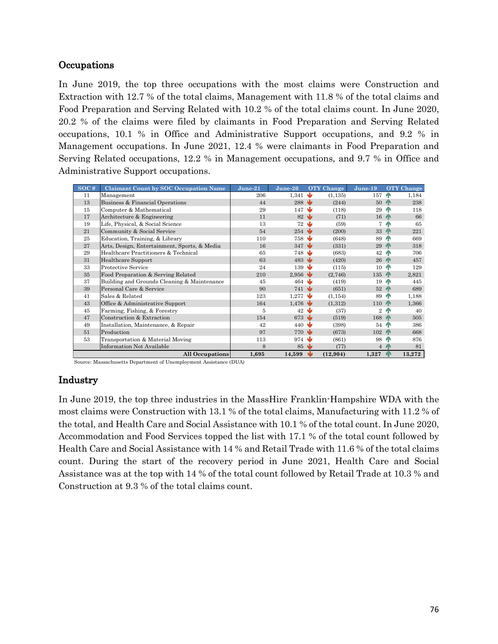#### **Occupations**

In June 2019, the top three occupations with the most claims were Construction and Extraction with 12.7 % of the total claims, Management with 11.8 % of the total claims and Food Preparation and Serving Related with 10.2 % of the total claims count. In June 2020, 20.2 % of the claims were filed by claimants in Food Preparation and Serving Related occupations, 10.1 % in Office and Administrative Support occupations, and 9.2 % in Management occupations. In June 2021, 12.4 % were claimants in Food Preparation and Serving Related occupations, 12.2 % in Management occupations, and 9.7 % in Office and Administrative Support occupations.

| SOC# | <b>Claimant Count by SOC Occupation Name</b> | $June-21$ | $June-20$                     |     | <b>OTY</b> Change | June-19        |                | <b>OTY</b> Change |
|------|----------------------------------------------|-----------|-------------------------------|-----|-------------------|----------------|----------------|-------------------|
| 11   | Management                                   | 206       | 1,341                         | N   | (1, 135)          | 157            | n <sub>R</sub> | 1,184             |
| 13   | Business & Financial Operations              | 44        | 288                           |     | (244)             | 50             | <b>AN</b>      | 238               |
| 15   | Computer & Mathematical                      | 29        | 147                           | w   | (118)             | 29             | ИN             | 118               |
| 17   | Architecture & Engineering                   | 11        | $82\sqrt{2}$                  |     | (71)              | 16             | <b>AN</b>      | 66                |
| 19   | Life, Physical, & Social Science             | 13        | $72\text{ }$                  |     | (59)              | 7              | <b>AN</b>      | 65                |
| 21   | Community & Social Service                   | 54        | 254                           | ۰W  | (200)             | 33             | <b>AN</b>      | 221               |
| 25   | Education, Training, & Library               | 110       | 758                           |     | (648)             | 89             | ИN             | 669               |
| 27   | Arts, Design, Entertainment, Sports, & Media | 16        | 347                           | w   | (331)             | 29             | <b>AN</b>      | 318               |
| 29   | Healthcare Practitioners & Technical         | 65        | 748                           |     | (683)             | 42             | ИN             | 706               |
| 31   | Healthcare Support                           | 63        | $483 \quad \text{V}$          |     | (420)             | 26             | <b>AN</b>      | 457               |
| 33   | Protective Service                           | 24        | 139                           | w   | (115)             | 10             | 4 <sup>N</sup> | 129               |
| 35   | Food Preparation & Serving Related           | 210       | 2,956                         |     | (2,746)           | 135            | <b>AN</b>      | 2,821             |
| 37   | Building and Grounds Cleaning & Maintenance  | 45        | 464                           |     | (419)             | 19             | <b>AN</b>      | 445               |
| 39   | Personal Care & Service                      | 90        | $741 \; \text{V}$             |     | (651)             | 52             | <b>AN</b>      | 689               |
| 41   | Sales & Related                              | 123       | 1.277                         | w   | (1, 154)          | 89             | ИN             | 1,188             |
| 43   | Office & Administrative Support              | 164       | 1,476                         |     | (1,312)           | 110            | <b>AN</b>      | 1,366             |
| 45   | Farming, Fishing, & Forestry                 | 5         | 42                            | N   | (37)              | $\overline{2}$ | ИN             | 40                |
| 47   | Construction & Extraction                    | 154       | 673 $\sqrt{ }$                |     | (519)             | 168            | <b>AN</b>      | 505               |
| 49   | Installation, Maintenance, & Repair          | 42        | 440                           | ۰W  | (398)             | 54             | ИN             | 386               |
| 51   | Production                                   | 97        | $770\,$ $\blacktriangleright$ |     | (673)             | 102            | 4N             | 668               |
| 53   | Transportation & Material Moving             | 113       | 974                           |     | (861)             | 98             | ИN             | 876               |
|      | Information Not Available                    | 8         | 85                            | ۰IJ | (77)              | $\overline{4}$ | <b>AN</b>      | 81                |
|      | All Occupations                              | 1,695     | 14,599                        | 业   | (12,904)          | 1,327          | <b>AN</b>      | 13,272            |

Source: Massachusetts Department of Unemployment Assistance (DUA)

#### Industry

In June 2019, the top three industries in the MassHire Franklin-Hampshire WDA with the most claims were Construction with 13.1 % of the total claims, Manufacturing with 11.2 % of the total, and Health Care and Social Assistance with 10.1 % of the total count. In June 2020, Accommodation and Food Services topped the list with 17.1 % of the total count followed by Health Care and Social Assistance with 14 % and Retail Trade with 11.6 % of the total claims count. During the start of the recovery period in June 2021, Health Care and Social Assistance was at the top with 14 % of the total count followed by Retail Trade at 10.3 % and Construction at 9.3 % of the total claims count.